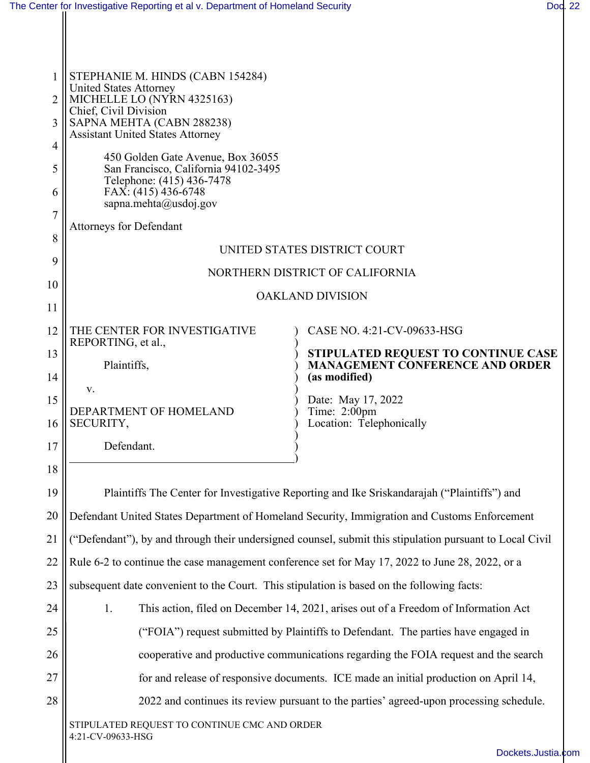| The Center for Investigative Reporting et al v. Department of Homeland Security |  | Dod. 22 |
|---------------------------------------------------------------------------------|--|---------|
|---------------------------------------------------------------------------------|--|---------|

| $\mathbf{1}$<br>$\overline{2}$<br>3<br>4<br>5<br>6<br>$\overline{7}$ | STEPHANIE M. HINDS (CABN 154284)<br><b>United States Attorney</b><br>MICHELLE LO (NYRN 4325163)<br>Chief, Civil Division<br>SAPNA MEHTA (CABN 288238)<br><b>Assistant United States Attorney</b><br>450 Golden Gate Avenue, Box 36055<br>San Francisco, California 94102-3495<br>Telephone: (415) 436-7478<br>FAX: (415) 436-6748<br>sapna.mehta@usdoj.gov<br><b>Attorneys for Defendant</b> |                                                                                                |  |  |  |  |  |
|----------------------------------------------------------------------|----------------------------------------------------------------------------------------------------------------------------------------------------------------------------------------------------------------------------------------------------------------------------------------------------------------------------------------------------------------------------------------------|------------------------------------------------------------------------------------------------|--|--|--|--|--|
| 8                                                                    |                                                                                                                                                                                                                                                                                                                                                                                              | UNITED STATES DISTRICT COURT                                                                   |  |  |  |  |  |
| 9                                                                    |                                                                                                                                                                                                                                                                                                                                                                                              | NORTHERN DISTRICT OF CALIFORNIA                                                                |  |  |  |  |  |
| 10<br>11                                                             | <b>OAKLAND DIVISION</b>                                                                                                                                                                                                                                                                                                                                                                      |                                                                                                |  |  |  |  |  |
| 12                                                                   | THE CENTER FOR INVESTIGATIVE                                                                                                                                                                                                                                                                                                                                                                 | CASE NO. 4:21-CV-09633-HSG                                                                     |  |  |  |  |  |
| 13<br>14                                                             | REPORTING, et al.,<br>Plaintiffs,                                                                                                                                                                                                                                                                                                                                                            | STIPULATED REQUEST TO CONTINUE CASE<br><b>MANAGEMENT CONFERENCE AND ORDER</b><br>(as modified) |  |  |  |  |  |
| 15<br>16                                                             | v.<br>DEPARTMENT OF HOMELAND<br>SECURITY,                                                                                                                                                                                                                                                                                                                                                    | Date: May 17, 2022<br>Time: $2:00$ pm<br>Location: Telephonically                              |  |  |  |  |  |
| 17                                                                   | Defendant.                                                                                                                                                                                                                                                                                                                                                                                   |                                                                                                |  |  |  |  |  |
| 18                                                                   |                                                                                                                                                                                                                                                                                                                                                                                              |                                                                                                |  |  |  |  |  |
| 19                                                                   |                                                                                                                                                                                                                                                                                                                                                                                              | Plaintiffs The Center for Investigative Reporting and Ike Sriskandarajah ("Plaintiffs") and    |  |  |  |  |  |
| 20                                                                   |                                                                                                                                                                                                                                                                                                                                                                                              | Defendant United States Department of Homeland Security, Immigration and Customs Enforcement   |  |  |  |  |  |
| 21                                                                   | "Defendant"), by and through their undersigned counsel, submit this stipulation pursuant to Local Civil                                                                                                                                                                                                                                                                                      |                                                                                                |  |  |  |  |  |
| 22                                                                   | Rule 6-2 to continue the case management conference set for May 17, 2022 to June 28, 2022, or a                                                                                                                                                                                                                                                                                              |                                                                                                |  |  |  |  |  |
| 23                                                                   | subsequent date convenient to the Court. This stipulation is based on the following facts:                                                                                                                                                                                                                                                                                                   |                                                                                                |  |  |  |  |  |
| 24                                                                   | 1.<br>This action, filed on December 14, 2021, arises out of a Freedom of Information Act                                                                                                                                                                                                                                                                                                    |                                                                                                |  |  |  |  |  |
| 25                                                                   | ("FOIA") request submitted by Plaintiffs to Defendant. The parties have engaged in                                                                                                                                                                                                                                                                                                           |                                                                                                |  |  |  |  |  |
| 26                                                                   | cooperative and productive communications regarding the FOIA request and the search                                                                                                                                                                                                                                                                                                          |                                                                                                |  |  |  |  |  |
| 27                                                                   | for and release of responsive documents. ICE made an initial production on April 14,                                                                                                                                                                                                                                                                                                         |                                                                                                |  |  |  |  |  |
| 28                                                                   | 2022 and continues its review pursuant to the parties' agreed-upon processing schedule.                                                                                                                                                                                                                                                                                                      |                                                                                                |  |  |  |  |  |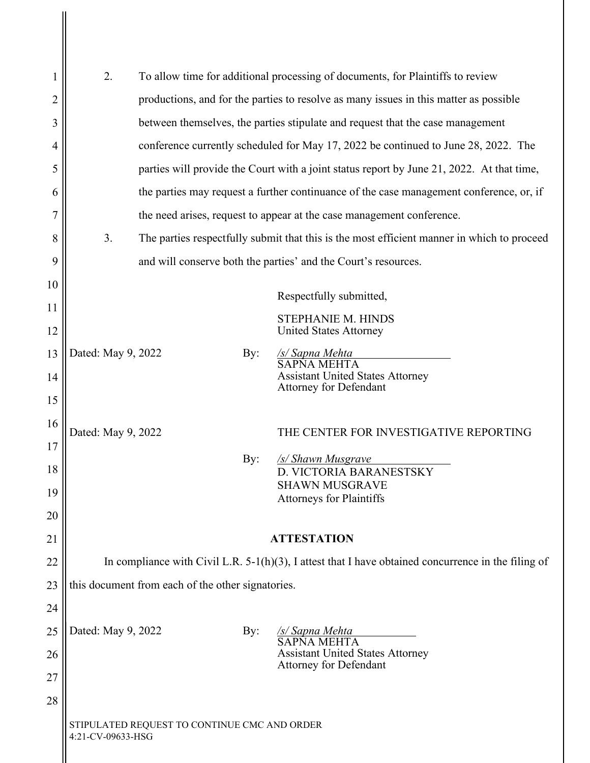| 1        | 2.                                                                                                     |                                                                                           |     | To allow time for additional processing of documents, for Plaintiffs to review             |  |  |
|----------|--------------------------------------------------------------------------------------------------------|-------------------------------------------------------------------------------------------|-----|--------------------------------------------------------------------------------------------|--|--|
| 2        |                                                                                                        | productions, and for the parties to resolve as many issues in this matter as possible     |     |                                                                                            |  |  |
| 3        |                                                                                                        | between themselves, the parties stipulate and request that the case management            |     |                                                                                            |  |  |
| 4        |                                                                                                        | conference currently scheduled for May 17, 2022 be continued to June 28, 2022. The        |     |                                                                                            |  |  |
| 5        |                                                                                                        | parties will provide the Court with a joint status report by June 21, 2022. At that time, |     |                                                                                            |  |  |
| 6        |                                                                                                        | the parties may request a further continuance of the case management conference, or, if   |     |                                                                                            |  |  |
|          |                                                                                                        |                                                                                           |     | the need arises, request to appear at the case management conference.                      |  |  |
| 8        | 3.                                                                                                     |                                                                                           |     | The parties respectfully submit that this is the most efficient manner in which to proceed |  |  |
| 9        |                                                                                                        |                                                                                           |     | and will conserve both the parties' and the Court's resources.                             |  |  |
| 10       |                                                                                                        |                                                                                           |     | Respectfully submitted,                                                                    |  |  |
| 11       |                                                                                                        |                                                                                           |     | STEPHANIE M. HINDS                                                                         |  |  |
| 12       |                                                                                                        |                                                                                           |     | <b>United States Attorney</b>                                                              |  |  |
| 13       | Dated: May 9, 2022                                                                                     |                                                                                           | By: | <u>/s/ Sapna Mehta</u><br>$\overline{\text{SAPNA} \text{ MEHTA}}$                          |  |  |
| 14       |                                                                                                        |                                                                                           |     | Assistant United States Attorney<br>Attorney for Defendant                                 |  |  |
| 15       |                                                                                                        |                                                                                           |     |                                                                                            |  |  |
| 16       | Dated: May 9, 2022                                                                                     |                                                                                           |     | THE CENTER FOR INVESTIGATIVE REPORTING                                                     |  |  |
| 17       |                                                                                                        |                                                                                           | By: | <u>/s/ Shawn Musgrave</u>                                                                  |  |  |
| 18       |                                                                                                        |                                                                                           |     | D. VICTORIA BARANESTSKY<br><b>SHAWN MUSGRAVE</b>                                           |  |  |
| 19       |                                                                                                        |                                                                                           |     | <b>Attorneys for Plaintiffs</b>                                                            |  |  |
| 20       |                                                                                                        |                                                                                           |     |                                                                                            |  |  |
| 21       | <b>ATTESTATION</b>                                                                                     |                                                                                           |     |                                                                                            |  |  |
| 22<br>23 | In compliance with Civil L.R. $5-1(h)(3)$ , I attest that I have obtained concurrence in the filing of |                                                                                           |     |                                                                                            |  |  |
| 24       | this document from each of the other signatories.                                                      |                                                                                           |     |                                                                                            |  |  |
| 25       | Dated: May 9, 2022                                                                                     |                                                                                           | By: | <u>/s/ Sapna Mehta</u>                                                                     |  |  |
| 26       |                                                                                                        |                                                                                           |     | <b>SAPNA MEHTA</b><br><b>Assistant United States Attorney</b>                              |  |  |
| 27       |                                                                                                        |                                                                                           |     | <b>Attorney for Defendant</b>                                                              |  |  |
| 28       |                                                                                                        |                                                                                           |     |                                                                                            |  |  |
|          | STIPULATED REQUEST TO CONTINUE CMC AND ORDER<br>4:21-CV-09633-HSG                                      |                                                                                           |     |                                                                                            |  |  |